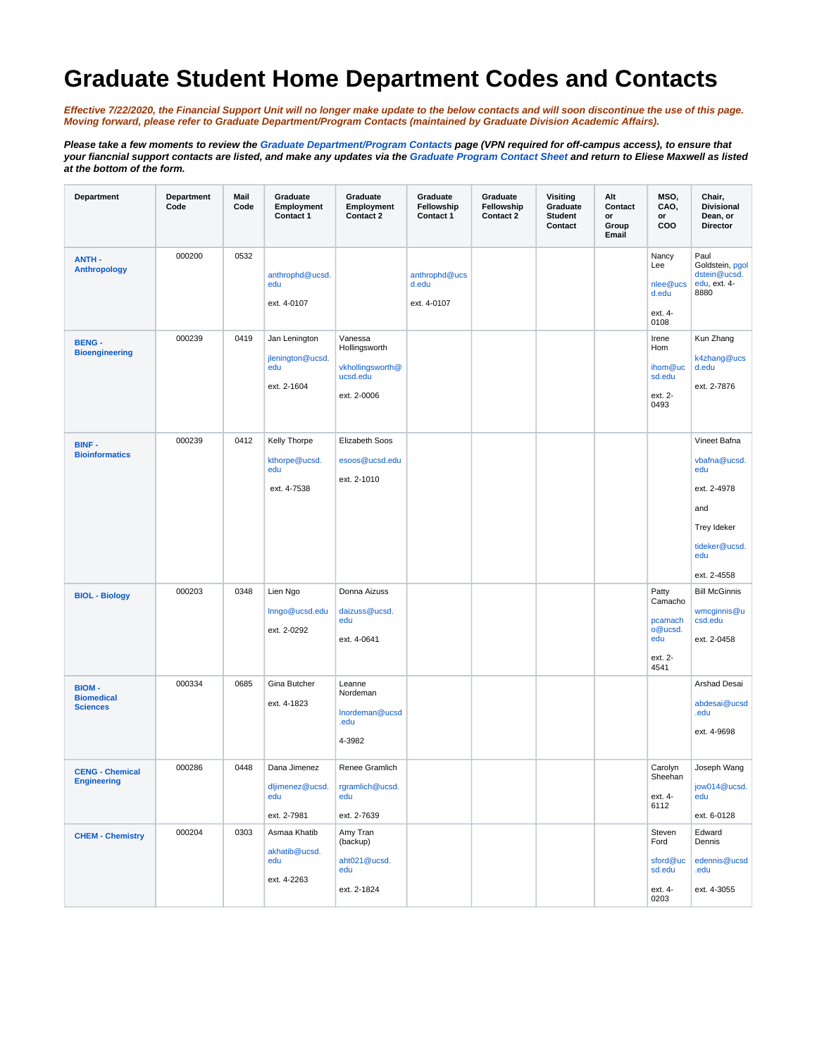## **Graduate Student Home Department Codes and Contacts**

**Effective 7/22/2020, the Financial Support Unit will no longer make update to the below contacts and will soon discontinue the use of this page. Moving forward, please refer to [Graduate Department/Program Contacts](https://ga.ucsd.edu/a/grad_dept_prog_contacts) (maintained by Graduate Division Academic Affairs).**

**Please take a few moments to review the [Graduate Department/Program Contacts](https://student-db.grad.ucsd.edu/grad_dept_prog_contacts) page (VPN required for off-campus access), to ensure that your fiancnial support contacts are listed, and make any updates via the [Graduate Program Contact Sheet](https://collab.ucsd.edu/download/attachments/45948451/deptsigsheet%202020-2021.docx?version=1&modificationDate=1595450022000&api=v2) and return to Eliese Maxwell as listed at the bottom of the form.** 

| Department                                           | Department<br>Code | Mail<br>Code | Graduate<br>Employment<br>Contact 1                     | Graduate<br>Employment<br>Contact 2                                     | Graduate<br>Fellowship<br>Contact 1   | Graduate<br>Fellowship<br>Contact 2 | <b>Visiting</b><br>Graduate<br><b>Student</b><br>Contact | Alt<br>Contact<br>or<br>Group<br>Email | MSO,<br>CAO,<br>or<br>coo                                        | Chair,<br><b>Divisional</b><br>Dean, or<br><b>Director</b>                                                             |
|------------------------------------------------------|--------------------|--------------|---------------------------------------------------------|-------------------------------------------------------------------------|---------------------------------------|-------------------------------------|----------------------------------------------------------|----------------------------------------|------------------------------------------------------------------|------------------------------------------------------------------------------------------------------------------------|
| <b>ANTH-</b><br><b>Anthropology</b>                  | 000200             | 0532         | anthrophd@ucsd.<br>edu<br>ext. 4-0107                   |                                                                         | anthrophd@ucs<br>d.edu<br>ext. 4-0107 |                                     |                                                          |                                        | Nancy<br>Lee<br>nlee@ucs<br>d.edu<br>ext. 4-<br>0108             | Paul<br>Goldstein, pgol<br>dstein@ucsd.<br>edu, ext. 4-<br>8880                                                        |
| <b>BENG -</b><br><b>Bioengineering</b>               | 000239             | 0419         | Jan Lenington<br>jlenington@ucsd.<br>edu<br>ext. 2-1604 | Vanessa<br>Hollingsworth<br>vkhollingsworth@<br>ucsd.edu<br>ext. 2-0006 |                                       |                                     |                                                          |                                        | Irene<br>Hom<br>ihom@uc<br>sd.edu<br>ext. 2-<br>0493             | Kun Zhang<br>k4zhang@ucs<br>d.edu<br>ext. 2-7876                                                                       |
| <b>BINF-</b><br><b>Bioinformatics</b>                | 000239             | 0412         | Kelly Thorpe<br>kthorpe@ucsd.<br>edu<br>ext. 4-7538     | Elizabeth Soos<br>esoos@ucsd.edu<br>ext. 2-1010                         |                                       |                                     |                                                          |                                        |                                                                  | Vineet Bafna<br>vbafna@ucsd.<br>edu<br>ext. 2-4978<br>and<br><b>Trey Ideker</b><br>tideker@ucsd.<br>edu<br>ext. 2-4558 |
| <b>BIOL - Biology</b>                                | 000203             | 0348         | Lien Ngo<br>Inngo@ucsd.edu<br>ext. 2-0292               | Donna Aizuss<br>daizuss@ucsd.<br>edu<br>ext. 4-0641                     |                                       |                                     |                                                          |                                        | Patty<br>Camacho<br>pcamach<br>o@ucsd.<br>edu<br>ext. 2-<br>4541 | <b>Bill McGinnis</b><br>wmcginnis@u<br>csd.edu<br>ext. 2-0458                                                          |
| <b>BIOM-</b><br><b>Biomedical</b><br><b>Sciences</b> | 000334             | 0685         | Gina Butcher<br>ext. 4-1823                             | Leanne<br>Nordeman<br>Inordeman@ucsd<br>.edu<br>4-3982                  |                                       |                                     |                                                          |                                        |                                                                  | Arshad Desai<br>abdesai@ucsd<br>.edu<br>ext. 4-9698                                                                    |
| <b>CENG - Chemical</b><br><b>Engineering</b>         | 000286             | 0448         | Dana Jimenez<br>dljimenez@ucsd.<br>edu<br>ext. 2-7981   | Renee Gramlich<br>rgramlich@ucsd.<br>edu<br>ext. 2-7639                 |                                       |                                     |                                                          |                                        | Carolyn<br>Sheehan<br>ext. 4-<br>6112                            | Joseph Wang<br>jow014@ucsd.<br>edu<br>ext. 6-0128                                                                      |
| <b>CHEM - Chemistry</b>                              | 000204             | 0303         | Asmaa Khatib<br>akhatib@ucsd.<br>edu<br>ext. 4-2263     | Amy Tran<br>(backup)<br>aht021@ucsd.<br>edu<br>ext. 2-1824              |                                       |                                     |                                                          |                                        | Steven<br>Ford<br>sford@uc<br>sd.edu<br>ext. 4-<br>0203          | Edward<br>Dennis<br>edennis@ucsd<br>.edu<br>ext. 4-3055                                                                |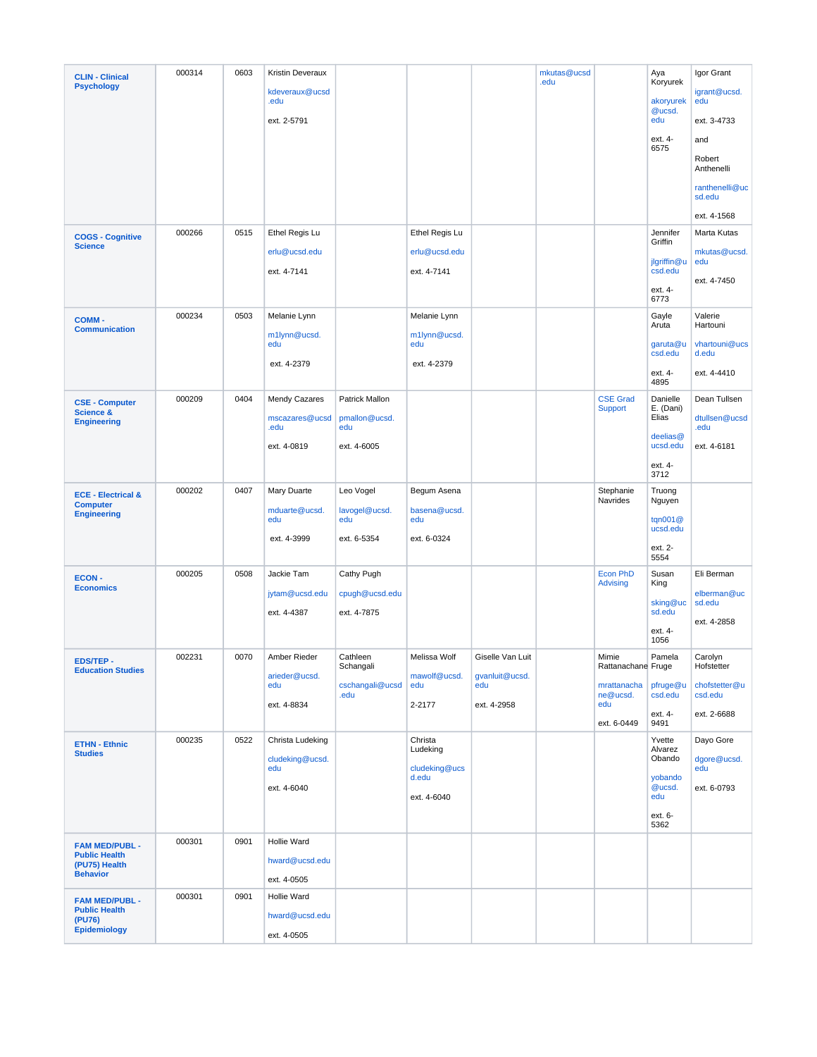| <b>CLIN - Clinical</b>                                   | 000314 | 0603 | Kristin Deveraux                           |                               |                                      |                       | mkutas@ucsd<br>.edu |                                    | Aya<br>Koryurek             | Igor Grant                      |
|----------------------------------------------------------|--------|------|--------------------------------------------|-------------------------------|--------------------------------------|-----------------------|---------------------|------------------------------------|-----------------------------|---------------------------------|
| <b>Psychology</b>                                        |        |      | kdeveraux@ucsd<br>.edu                     |                               |                                      |                       |                     |                                    | akoryurek<br>@ucsd.         | igrant@ucsd.<br>edu             |
|                                                          |        |      | ext. 2-5791                                |                               |                                      |                       |                     |                                    | edu                         | ext. 3-4733                     |
|                                                          |        |      |                                            |                               |                                      |                       |                     |                                    | ext. 4-<br>6575             | and                             |
|                                                          |        |      |                                            |                               |                                      |                       |                     |                                    |                             | Robert<br>Anthenelli            |
|                                                          |        |      |                                            |                               |                                      |                       |                     |                                    |                             | ranthenelli@uc<br>sd.edu        |
|                                                          |        |      |                                            |                               |                                      |                       |                     |                                    |                             | ext. 4-1568                     |
| <b>COGS - Cognitive</b><br><b>Science</b>                | 000266 | 0515 | Ethel Regis Lu                             |                               | Ethel Regis Lu                       |                       |                     |                                    | Jennifer<br>Griffin         | Marta Kutas                     |
|                                                          |        |      | erlu@ucsd.edu<br>ext. 4-7141               |                               | erlu@ucsd.edu<br>ext. 4-7141         |                       |                     |                                    | jlgriffin@u<br>csd.edu      | mkutas@ucsd.<br>edu             |
|                                                          |        |      |                                            |                               |                                      |                       |                     |                                    | ext. 4-<br>6773             | ext. 4-7450                     |
| <b>COMM-</b><br><b>Communication</b>                     | 000234 | 0503 | Melanie Lynn                               |                               | Melanie Lynn                         |                       |                     |                                    | Gayle<br>Aruta              | Valerie<br>Hartouni             |
|                                                          |        |      | m1lynn@ucsd.<br>edu                        |                               | m1lynn@ucsd.<br>edu                  |                       |                     |                                    | garuta@u<br>csd.edu         | vhartouni@ucs<br>d.edu          |
|                                                          |        |      | ext. 4-2379                                |                               | ext. 4-2379                          |                       |                     |                                    | ext. 4-<br>4895             | ext. 4-4410                     |
| <b>CSE - Computer</b>                                    | 000209 | 0404 | Mendy Cazares                              | Patrick Mallon                |                                      |                       |                     | <b>CSE Grad</b><br><b>Support</b>  | Danielle<br>E. (Dani)       | Dean Tullsen                    |
| <b>Science &amp;</b><br><b>Engineering</b>               |        |      | mscazares@ucsd<br>.edu                     | pmallon@ucsd.<br>edu          |                                      |                       |                     |                                    | Elias<br>deelias@           | dtullsen@ucsd<br>.edu           |
|                                                          |        |      | ext. 4-0819                                | ext. 4-6005                   |                                      |                       |                     |                                    | ucsd.edu                    | ext. 4-6181                     |
|                                                          |        |      |                                            |                               |                                      |                       |                     |                                    | ext. 4-<br>3712             |                                 |
| <b>ECE - Electrical &amp;</b><br><b>Computer</b>         | 000202 | 0407 | Mary Duarte                                | Leo Vogel                     | Begum Asena                          |                       |                     | Stephanie<br>Navrides              | Truong<br>Nguyen            |                                 |
| <b>Engineering</b>                                       |        |      | mduarte@ucsd.<br>edu                       | lavogel@ucsd.<br>edu          | basena@ucsd.<br>edu                  |                       |                     |                                    | tqn001@<br>ucsd.edu         |                                 |
|                                                          |        |      | ext. 4-3999                                | ext. 6-5354                   | ext. 6-0324                          |                       |                     |                                    | ext. 2-<br>5554             |                                 |
| <b>ECON-</b><br><b>Economics</b>                         | 000205 | 0508 | Jackie Tam                                 | Cathy Pugh                    |                                      |                       |                     | <b>Econ PhD</b><br><b>Advising</b> | Susan<br>King               | Eli Berman                      |
|                                                          |        |      | jytam@ucsd.edu<br>ext. 4-4387              | cpugh@ucsd.edu<br>ext. 4-7875 |                                      |                       |                     |                                    | sking@uc<br>sd.edu          | elberman@uc<br>sd.edu           |
|                                                          |        |      |                                            |                               |                                      |                       |                     |                                    | ext. 4-<br>1056             | ext. 4-2858                     |
| <b>EDS/TEP-</b>                                          | 002231 | 0070 | Amber Rieder                               | Cathleen                      | Melissa Wolf                         | Giselle Van Luit      |                     | Mimie                              | Pamela                      | Carolyn                         |
| <b>Education Studies</b>                                 |        |      | arieder@ucsd.<br>edu                       | Schangali<br>cschangali@ucsd  | mawolf@ucsd.<br>edu                  | gvanluit@ucsd.<br>edu |                     | Rattanachane Fruge<br>mrattanacha  | pfruge@u                    | Hofstetter<br>chofstetter@u     |
|                                                          |        |      | ext. 4-8834                                | .edu                          | 2-2177                               | ext. 4-2958           |                     | ne@ucsd.<br>edu                    | csd.edu<br>ext. 4-          | csd.edu<br>ext. 2-6688          |
|                                                          |        |      |                                            |                               |                                      |                       |                     | ext. 6-0449                        | 9491                        |                                 |
| <b>ETHN - Ethnic</b><br><b>Studies</b>                   | 000235 | 0522 | Christa Ludeking<br>cludeking@ucsd.<br>edu |                               | Christa<br>Ludeking<br>cludeking@ucs |                       |                     |                                    | Yvette<br>Alvarez<br>Obando | Dayo Gore<br>dgore@ucsd.<br>edu |
|                                                          |        |      | ext. 4-6040                                |                               | d.edu<br>ext. 4-6040                 |                       |                     |                                    | yobando<br>@ucsd.<br>edu    | ext. 6-0793                     |
|                                                          |        |      |                                            |                               |                                      |                       |                     |                                    | ext. 6-<br>5362             |                                 |
| <b>FAM MED/PUBL -</b>                                    | 000301 | 0901 | Hollie Ward                                |                               |                                      |                       |                     |                                    |                             |                                 |
| <b>Public Health</b><br>(PU75) Health<br><b>Behavior</b> |        |      | hward@ucsd.edu                             |                               |                                      |                       |                     |                                    |                             |                                 |
|                                                          | 000301 | 0901 | ext. 4-0505<br>Hollie Ward                 |                               |                                      |                       |                     |                                    |                             |                                 |
| <b>FAM MED/PUBL -</b><br><b>Public Health</b>            |        |      | hward@ucsd.edu                             |                               |                                      |                       |                     |                                    |                             |                                 |
| (PU76)<br><b>Epidemiology</b>                            |        |      | ext. 4-0505                                |                               |                                      |                       |                     |                                    |                             |                                 |
|                                                          |        |      |                                            |                               |                                      |                       |                     |                                    |                             |                                 |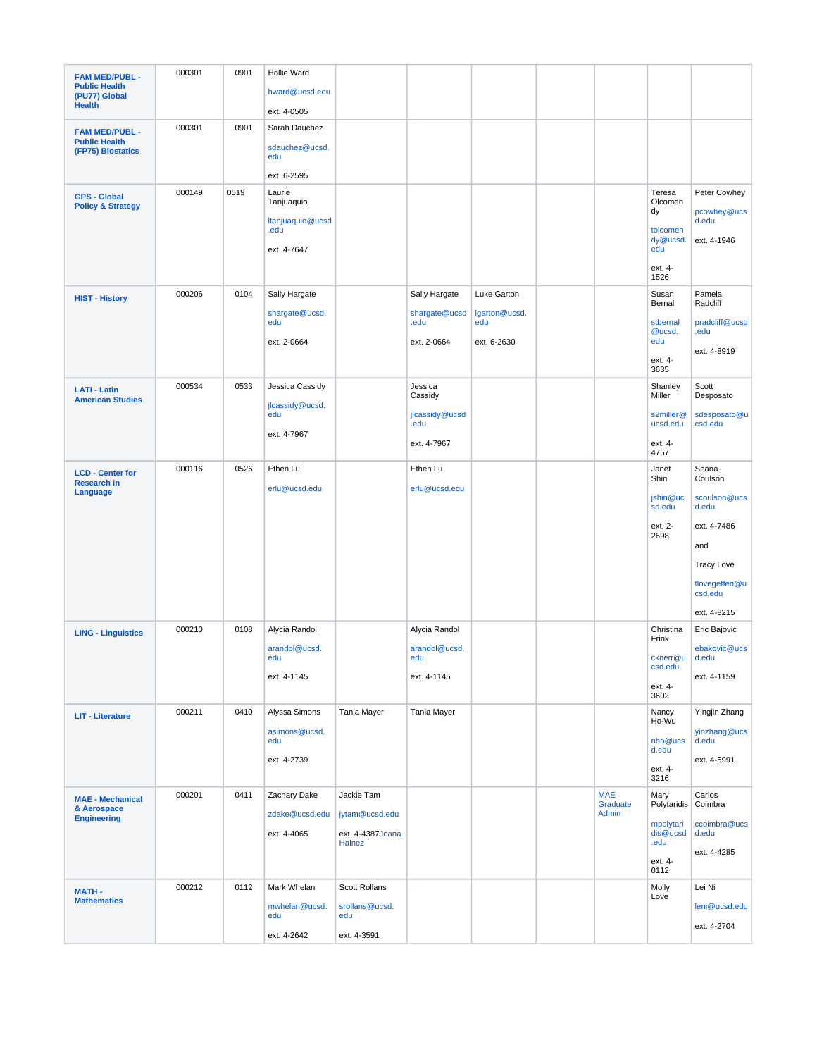| <b>FAM MED/PUBL -</b>                               | 000301 | 0901 | Hollie Ward                             |                              |                        |                      |                                 |                               |                             |
|-----------------------------------------------------|--------|------|-----------------------------------------|------------------------------|------------------------|----------------------|---------------------------------|-------------------------------|-----------------------------|
| <b>Public Health</b><br>(PU77) Global               |        |      | hward@ucsd.edu                          |                              |                        |                      |                                 |                               |                             |
| <b>Health</b>                                       |        |      | ext. 4-0505                             |                              |                        |                      |                                 |                               |                             |
| <b>FAM MED/PUBL -</b>                               | 000301 | 0901 | Sarah Dauchez                           |                              |                        |                      |                                 |                               |                             |
| <b>Public Health</b><br>(FP75) Biostatics           |        |      | sdauchez@ucsd.<br>edu                   |                              |                        |                      |                                 |                               |                             |
|                                                     |        |      | ext. 6-2595                             |                              |                        |                      |                                 |                               |                             |
| <b>GPS - Global</b><br><b>Policy &amp; Strategy</b> | 000149 | 0519 | Laurie<br>Tanjuaquio                    |                              |                        |                      |                                 | Teresa<br>Olcomen<br>dy       | Peter Cowhey<br>pcowhey@ucs |
|                                                     |        |      | Itanjuaquio@ucsd<br>.edu<br>ext. 4-7647 |                              |                        |                      |                                 | tolcomen<br>dy@ucsd.<br>edu   | d.edu<br>ext. 4-1946        |
|                                                     |        |      |                                         |                              |                        |                      |                                 | ext. 4-<br>1526               |                             |
| <b>HIST - History</b>                               | 000206 | 0104 | Sally Hargate                           |                              | Sally Hargate          | Luke Garton          |                                 | Susan<br>Bernal               | Pamela<br>Radcliff          |
|                                                     |        |      | shargate@ucsd.<br>edu                   |                              | shargate@ucsd<br>.edu  | lgarton@ucsd.<br>edu |                                 | stbernal                      | pradcliff@ucsd              |
|                                                     |        |      | ext. 2-0664                             |                              | ext. 2-0664            | ext. 6-2630          |                                 | @ucsd.<br>edu                 | .edu                        |
|                                                     |        |      |                                         |                              |                        |                      |                                 | ext. 4-                       | ext. 4-8919                 |
|                                                     |        |      |                                         |                              |                        |                      |                                 | 3635                          |                             |
| <b>LATI - Latin</b><br><b>American Studies</b>      | 000534 | 0533 | Jessica Cassidy<br>jlcassidy@ucsd.      |                              | Jessica<br>Cassidy     |                      |                                 | Shanley<br>Miller             | Scott<br>Desposato          |
|                                                     |        |      | edu<br>ext. 4-7967                      |                              | jlcassidy@ucsd<br>.edu |                      |                                 | s2miller@<br>ucsd.edu         | sdesposato@u<br>csd.edu     |
|                                                     |        |      |                                         |                              | ext. 4-7967            |                      |                                 | ext. 4-<br>4757               |                             |
| <b>LCD - Center for</b><br><b>Research in</b>       | 000116 | 0526 | Ethen Lu                                |                              | Ethen Lu               |                      |                                 | Janet<br>Shin                 | Seana<br>Coulson            |
| Language                                            |        |      | erlu@ucsd.edu                           |                              | erlu@ucsd.edu          |                      |                                 | jshin@uc<br>sd.edu            | scoulson@ucs<br>d.edu       |
|                                                     |        |      |                                         |                              |                        |                      |                                 | ext. 2-<br>2698               | ext. 4-7486                 |
|                                                     |        |      |                                         |                              |                        |                      |                                 |                               | and                         |
|                                                     |        |      |                                         |                              |                        |                      |                                 |                               | <b>Tracy Love</b>           |
|                                                     |        |      |                                         |                              |                        |                      |                                 |                               | tlovegeffen@u<br>csd.edu    |
|                                                     |        |      |                                         |                              |                        |                      |                                 |                               | ext. 4-8215                 |
| <b>LING - Linguistics</b>                           | 000210 | 0108 | Alycia Randol                           |                              | Alycia Randol          |                      |                                 | Christina<br>Frink            | Eric Bajovic                |
|                                                     |        |      | arandol@ucsd.<br>edu                    |                              | arandol@ucsd.<br>edu   |                      |                                 | cknerr@u                      | ebakovic@ucs<br>d.edu       |
|                                                     |        |      | ext. 4-1145                             |                              | ext. 4-1145            |                      |                                 | csd.edu<br>ext. 4-            | ext. 4-1159                 |
|                                                     |        |      |                                         |                              |                        |                      |                                 | 3602                          |                             |
| <b>LIT - Literature</b>                             | 000211 | 0410 | Alyssa Simons                           | Tania Mayer                  | Tania Mayer            |                      |                                 | Nancy<br>Ho-Wu                | Yingjin Zhang               |
|                                                     |        |      | asimons@ucsd.<br>edu                    |                              |                        |                      |                                 | nho@ucs<br>d.edu              | yinzhang@ucs<br>d.edu       |
|                                                     |        |      | ext. 4-2739                             |                              |                        |                      |                                 | ext. 4-                       | ext. 4-5991                 |
|                                                     |        |      |                                         |                              |                        |                      |                                 | 3216                          |                             |
| <b>MAE - Mechanical</b><br>& Aerospace              | 000201 | 0411 | Zachary Dake<br>zdake@ucsd.edu          | Jackie Tam<br>jytam@ucsd.edu |                        |                      | <b>MAE</b><br>Graduate<br>Admin | Mary<br>Polytaridis           | Carlos<br>Coimbra           |
| <b>Engineering</b>                                  |        |      | ext. 4-4065                             | ext. 4-4387Joana<br>Halnez   |                        |                      |                                 | mpolytari<br>dis@ucsd<br>.edu | ccoimbra@ucs<br>d.edu       |
|                                                     |        |      |                                         |                              |                        |                      |                                 | ext. 4-<br>0112               | ext. 4-4285                 |
| <b>MATH-</b>                                        | 000212 | 0112 | Mark Whelan                             | Scott Rollans                |                        |                      |                                 | Molly                         | Lei Ni                      |
| <b>Mathematics</b>                                  |        |      | mwhelan@ucsd.<br>edu                    | srollans@ucsd.<br>edu        |                        |                      |                                 | Love                          | leni@ucsd.edu               |
|                                                     |        |      | ext. 4-2642                             | ext. 4-3591                  |                        |                      |                                 |                               | ext. 4-2704                 |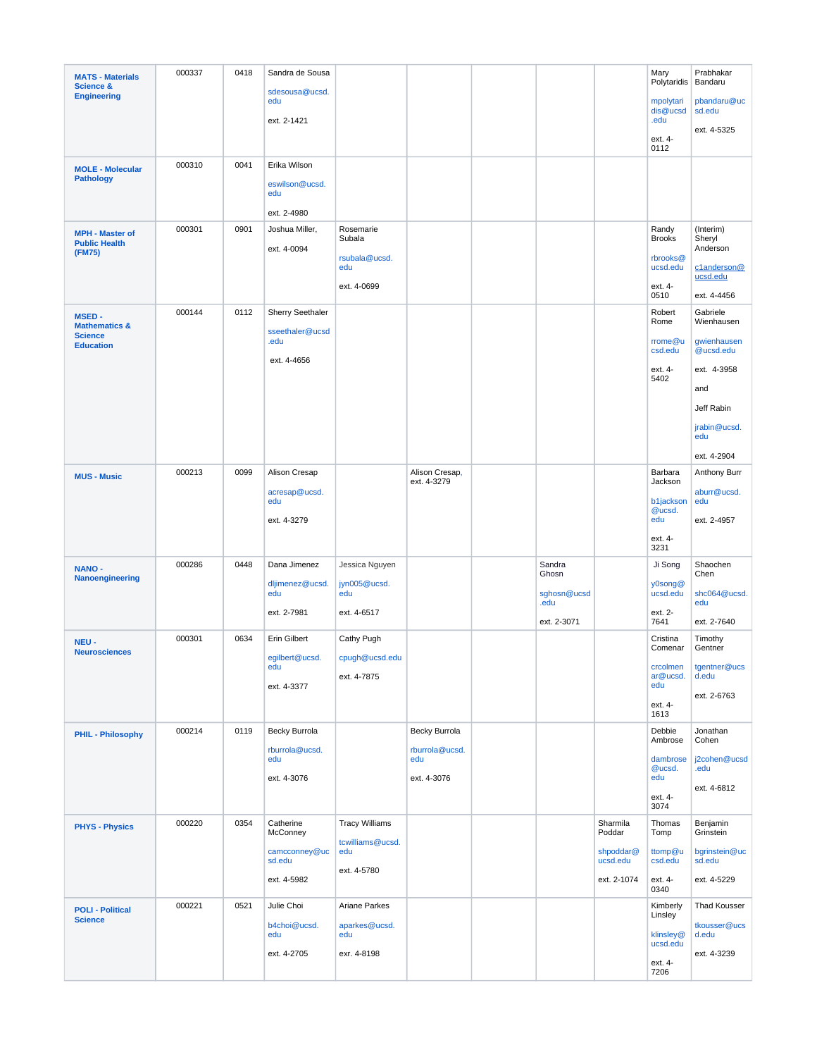| <b>MATS - Materials</b><br><b>Science &amp;</b>            | 000337 | 0418 | Sandra de Sousa                      |                                     |                               |                              |                         | Mary<br>Polytaridis             | Prabhakar<br>Bandaru                |
|------------------------------------------------------------|--------|------|--------------------------------------|-------------------------------------|-------------------------------|------------------------------|-------------------------|---------------------------------|-------------------------------------|
| <b>Engineering</b>                                         |        |      | sdesousa@ucsd.<br>edu<br>ext. 2-1421 |                                     |                               |                              |                         | mpolytari<br>dis@ucsd<br>.edu   | pbandaru@uc<br>sd.edu               |
|                                                            |        |      |                                      |                                     |                               |                              |                         | ext. 4-<br>0112                 | ext. 4-5325                         |
| <b>MOLE - Molecular</b>                                    | 000310 | 0041 | Erika Wilson                         |                                     |                               |                              |                         |                                 |                                     |
| <b>Pathology</b>                                           |        |      | eswilson@ucsd.<br>edu                |                                     |                               |                              |                         |                                 |                                     |
|                                                            |        |      | ext. 2-4980                          |                                     |                               |                              |                         |                                 |                                     |
| <b>MPH - Master of</b><br><b>Public Health</b><br>(FM75)   | 000301 | 0901 | Joshua Miller,<br>ext. 4-0094        | Rosemarie<br>Subala                 |                               |                              |                         | Randy<br><b>Brooks</b>          | (Interim)<br>Sheryl<br>Anderson     |
|                                                            |        |      |                                      | rsubala@ucsd.<br>edu<br>ext. 4-0699 |                               |                              |                         | rbrooks@<br>ucsd.edu<br>ext. 4- | c1anderson@<br>ucsd.edu             |
|                                                            |        |      |                                      |                                     |                               |                              |                         | 0510                            | ext. 4-4456                         |
| <b>MSED-</b><br><b>Mathematics &amp;</b><br><b>Science</b> | 000144 | 0112 | Sherry Seethaler<br>sseethaler@ucsd  |                                     |                               |                              |                         | Robert<br>Rome                  | Gabriele<br>Wienhausen              |
| <b>Education</b>                                           |        |      | .edu<br>ext. 4-4656                  |                                     |                               |                              |                         | rrome@u<br>csd.edu              | gwienhausen<br>@ucsd.edu            |
|                                                            |        |      |                                      |                                     |                               |                              |                         | ext. 4-<br>5402                 | ext. 4-3958<br>and                  |
|                                                            |        |      |                                      |                                     |                               |                              |                         |                                 | Jeff Rabin                          |
|                                                            |        |      |                                      |                                     |                               |                              |                         |                                 | jrabin@ucsd.<br>edu                 |
|                                                            |        |      |                                      |                                     |                               |                              |                         |                                 | ext. 4-2904                         |
| <b>MUS - Music</b>                                         | 000213 | 0099 | Alison Cresap                        |                                     | Alison Cresap,<br>ext. 4-3279 |                              |                         | Barbara<br>Jackson              | Anthony Burr                        |
|                                                            |        |      | acresap@ucsd.<br>edu                 |                                     |                               |                              |                         | b1jackson<br>@ucsd.             | aburr@ucsd.<br>edu                  |
|                                                            |        |      | ext. 4-3279                          |                                     |                               |                              |                         | edu<br>ext. 4-<br>3231          | ext. 2-4957                         |
| <b>NANO-</b>                                               | 000286 | 0448 | Dana Jimenez                         | Jessica Nguyen                      |                               | Sandra                       |                         | Ji Song                         | Shaochen                            |
| Nanoengineering                                            |        |      | dljimenez@ucsd.<br>edu               | jyn005@ucsd.<br>edu                 |                               | Ghosn<br>sghosn@ucsd<br>.edu |                         | y0song@<br>ucsd.edu             | Chen<br>shc064@ucsd.<br>edu         |
|                                                            |        |      | ext. 2-7981                          | ext. 4-6517                         |                               | ext. 2-3071                  |                         | ext. 2-<br>7641                 | ext. 2-7640                         |
| NEU-<br><b>Neurosciences</b>                               | 000301 | 0634 | <b>Erin Gilbert</b>                  | Cathy Pugh                          |                               |                              |                         | Cristina<br>Comenar             | Timothy<br>Gentner                  |
|                                                            |        |      | eqilbert@ucsd.<br>edu<br>ext. 4-3377 | cpugh@ucsd.edu<br>ext. 4-7875       |                               |                              |                         | crcolmen<br>ar@ucsd.<br>edu     | tgentner@ucs<br>d.edu               |
|                                                            |        |      |                                      |                                     |                               |                              |                         | ext. 4-<br>1613                 | ext. 2-6763                         |
| <b>PHIL - Philosophy</b>                                   | 000214 | 0119 | Becky Burrola                        |                                     | Becky Burrola                 |                              |                         | Debbie<br>Ambrose               | Jonathan<br>Cohen                   |
|                                                            |        |      | rburrola@ucsd.<br>edu                |                                     | rburrola@ucsd.<br>edu         |                              |                         | dambrose<br>@ucsd.              | j2cohen@ucsd<br>.edu                |
|                                                            |        |      | ext. 4-3076                          |                                     | ext. 4-3076                   |                              |                         | edu<br>ext. 4-<br>3074          | ext. 4-6812                         |
|                                                            | 000220 | 0354 | Catherine                            | <b>Tracy Williams</b>               |                               |                              | Sharmila                | Thomas                          | Benjamin                            |
| <b>PHYS - Physics</b>                                      |        |      | McConney<br>camcconney@uc            | tcwilliams@ucsd.<br>edu             |                               |                              | Poddar<br>shpoddar@     | Tomp<br>ttomp@u                 | Grinstein<br>bgrinstein@uc          |
|                                                            |        |      | sd.edu<br>ext. 4-5982                | ext. 4-5780                         |                               |                              | ucsd.edu<br>ext. 2-1074 | csd.edu<br>ext. 4-              | sd.edu<br>ext. 4-5229               |
|                                                            |        |      |                                      |                                     |                               |                              |                         | 0340                            |                                     |
| <b>POLI - Political</b><br><b>Science</b>                  | 000221 | 0521 | Julie Choi<br>b4choi@ucsd.           | Ariane Parkes<br>aparkes@ucsd.      |                               |                              |                         | Kimberly<br>Linsley             | <b>Thad Kousser</b><br>tkousser@ucs |
|                                                            |        |      | edu<br>ext. 4-2705                   | edu<br>exr. 4-8198                  |                               |                              |                         | klinsley@<br>ucsd.edu           | d.edu<br>ext. 4-3239                |
|                                                            |        |      |                                      |                                     |                               |                              |                         | ext. 4-<br>7206                 |                                     |